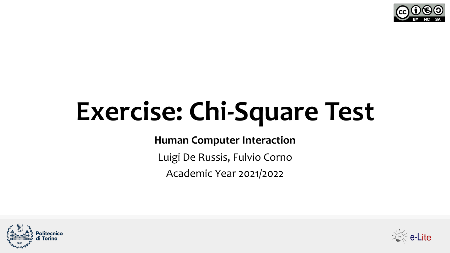

# **Exercise: Chi-Square Test**

**Human Computer Interaction**

Luigi De Russis, Fulvio Corno

Academic Year 2021/2022



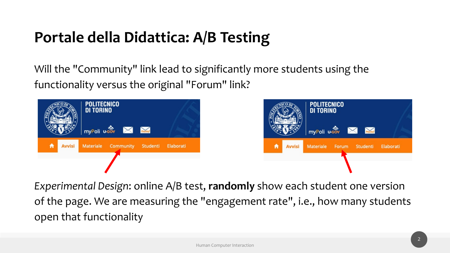### **Portale della Didattica: A/B Testing**

Will the "Community" link lead to significantly more students using the functionality versus the original "Forum" link?





*Experimental Design*: online A/B test, **randomly** show each student one version of the page. We are measuring the "engagement rate", i.e., how many students open that functionality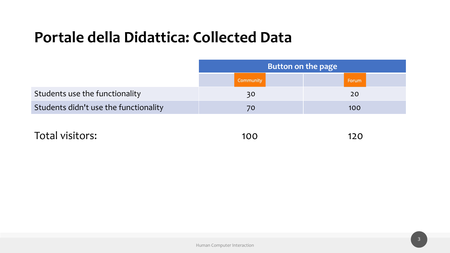|                                       | <b>Button on the page</b> |       |  |  |  |  |
|---------------------------------------|---------------------------|-------|--|--|--|--|
|                                       | Community                 | Forum |  |  |  |  |
| Students use the functionality        | 30                        | 20    |  |  |  |  |
| Students didn't use the functionality | 70                        | 100   |  |  |  |  |

Total visitors: 100 120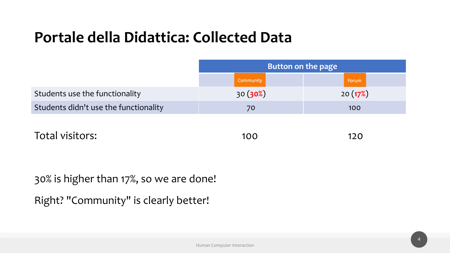|                                       | Button on the page |         |
|---------------------------------------|--------------------|---------|
|                                       | Community          | Forum   |
| Students use the functionality        | 30(30%)            | 20(17%) |
| Students didn't use the functionality | 70                 | 100     |
|                                       |                    |         |

Total visitors: 100 120

30% is higher than 17%, so we are done! Right? "Community" is clearly better!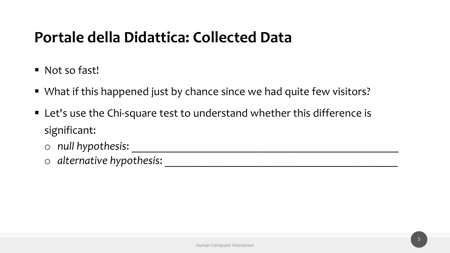- Not so fast!
- What if this happened just by chance since we had quite few visitors?
- Let's use the Chi-square test to understand whether this difference is significant:
	- o *null hypothesis*: \_\_\_\_\_\_\_\_\_\_\_\_\_\_\_\_\_\_\_\_\_\_\_\_\_\_\_\_\_\_\_\_\_\_\_\_\_\_\_\_\_\_\_\_\_\_\_

o *alternative hypothesis*: \_\_\_\_\_\_\_\_\_\_\_\_\_\_\_\_\_\_\_\_\_\_\_\_\_\_\_\_\_\_\_\_\_\_\_\_\_\_\_\_\_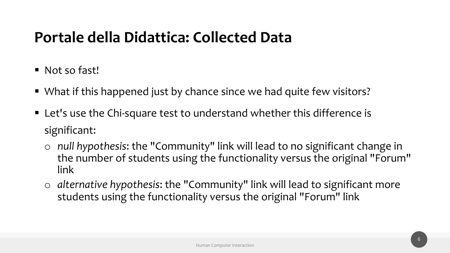- § Not so fast!
- What if this happened just by chance since we had quite few visitors?
- Let's use the Chi-square test to understand whether this difference is significant:
	- o *null hypothesis*: the "Community" link will lead to no significant change in the number of students using the functionality versus the original "Forum" link
	- o *alternative hypothesis*: the "Community" link will lead to significant more students using the functionality versus the original "Forum" link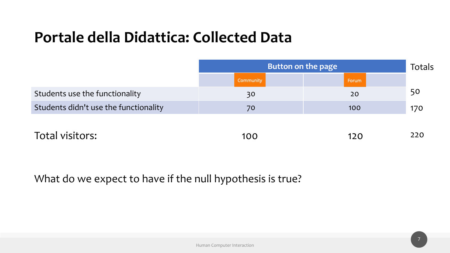|                                       | Button on the page<br>Totals |       |     |  |  |
|---------------------------------------|------------------------------|-------|-----|--|--|
|                                       | Community                    | Forum |     |  |  |
| Students use the functionality        | 30                           | 20    | 50  |  |  |
| Students didn't use the functionality | 70                           | 100   | 170 |  |  |
|                                       |                              |       |     |  |  |
| Total visitors:                       | 100                          | 120   | 220 |  |  |

What do we expect to have if the null hypothesis is true?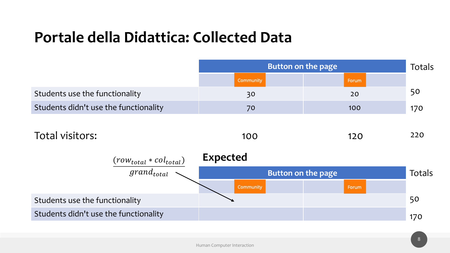|                                                     | Button on the page     |                    |        |  |  |  |
|-----------------------------------------------------|------------------------|--------------------|--------|--|--|--|
|                                                     | Community              | Forum              |        |  |  |  |
| Students use the functionality                      | 30                     | 20                 | 50     |  |  |  |
| Students didn't use the functionality               | 70                     | 100                | 170    |  |  |  |
| Total visitors:                                     | 100<br><b>Expected</b> | 120                | 220    |  |  |  |
| $\frac{(row_{total} * col_{total})}{grand_{total}}$ |                        | Button on the page | Totals |  |  |  |
|                                                     | <b>Community</b>       | Forum              |        |  |  |  |
| Students use the functionality                      |                        |                    | 50     |  |  |  |
| Students didn't use the functionality               |                        |                    | 170    |  |  |  |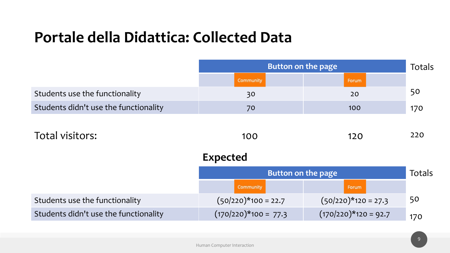|                        |                        | Totals                                   |
|------------------------|------------------------|------------------------------------------|
| Community              | Forum                  |                                          |
| 30                     | 20                     | 50                                       |
| 70                     | 100                    | 170                                      |
|                        |                        |                                          |
| 100                    | 120                    | 220                                      |
| <b>Expected</b>        |                        |                                          |
|                        |                        | Totals                                   |
| Community              | Forum                  |                                          |
| $(50/220)$ *100 = 22.7 | $(50/220)$ *120 = 27.3 | 50                                       |
| $(170/220)*100 = 77.3$ | $(170/220)*120 = 92.7$ | 170                                      |
|                        |                        | Button on the page<br>Button on the page |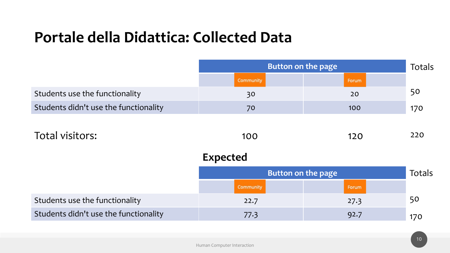|                 |       | Totals                                          |
|-----------------|-------|-------------------------------------------------|
| Community       | Forum |                                                 |
| 30              | 20    | 50                                              |
| 70              | 100   | 170                                             |
|                 |       |                                                 |
| 100             | 120   | 220                                             |
| <b>Expected</b> |       |                                                 |
|                 |       | Totals                                          |
| Community       | Forum |                                                 |
| 22.7            | 27.3  | 50                                              |
| 77.3            | 92.7  | 170                                             |
|                 |       | Button on the page<br><b>Button on the page</b> |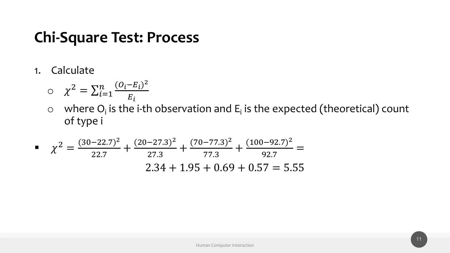1. Calculate

$$
\circ \quad \chi^2 = \sum_{i=1}^n \frac{(O_i - E_i)^2}{E_i}
$$

 $\circ$  where O<sub>i</sub> is the i-th observation and E<sub>i</sub> is the expected (theoretical) count of type i

$$
\mu \chi^2 = \frac{(30-22.7)^2}{22.7} + \frac{(20-27.3)^2}{27.3} + \frac{(70-77.3)^2}{77.3} + \frac{(100-92.7)^2}{92.7} = 2.34 + 1.95 + 0.69 + 0.57 = 5.55
$$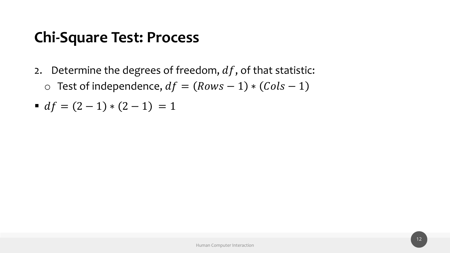2. Determine the degrees of freedom,  $df$ , of that statistic: o Test of independence,  $df = (Rows - 1) * (Cols - 1)$ 

• 
$$
df = (2-1) * (2-1) = 1
$$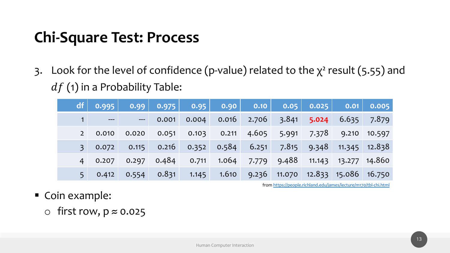3. Look for the level of confidence (p-value) related  $df$  (1) in a Probability Table:

| $\begin{array}{ c c c c c }\hline \textbf{0.975} & \textbf{0.95} & \textbf{0.90} \end{array}$<br>df<br>0.99<br>$\vert$ 0.10 $\vert$<br>$\blacksquare$<br>0.016<br>0.004<br>0.001<br>$---$<br>$---$<br>4.605<br>0.103<br>0.051<br>0.211<br>0.020<br>0.010<br>$2^{\circ}$<br>$0.352$ 0.584<br>$0.115$ $0.216$<br>6.251<br>0.072<br>$\overline{3}$<br>0.484<br>1.064<br>0.297<br>0.711<br>7.779<br>0.207<br>4 <sup>1</sup><br>0.831<br>1.610<br>1.145<br>0.554<br>0.412<br>5 <sup>1</sup> |  |  |  |  |  |
|----------------------------------------------------------------------------------------------------------------------------------------------------------------------------------------------------------------------------------------------------------------------------------------------------------------------------------------------------------------------------------------------------------------------------------------------------------------------------------------|--|--|--|--|--|
| $2.706 - 3.6$<br>-5.<br>7.<br>9.4<br>$9.236$ 11.0                                                                                                                                                                                                                                                                                                                                                                                                                                      |  |  |  |  |  |
|                                                                                                                                                                                                                                                                                                                                                                                                                                                                                        |  |  |  |  |  |
|                                                                                                                                                                                                                                                                                                                                                                                                                                                                                        |  |  |  |  |  |
|                                                                                                                                                                                                                                                                                                                                                                                                                                                                                        |  |  |  |  |  |
|                                                                                                                                                                                                                                                                                                                                                                                                                                                                                        |  |  |  |  |  |
|                                                                                                                                                                                                                                                                                                                                                                                                                                                                                        |  |  |  |  |  |

from https:/

- Coin example:
	- $\circ$  first row,  $p \approx 0.025$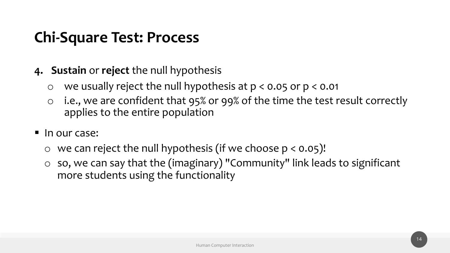- **4. Sustain** or **reject** the null hypothesis
	- o we usually reject the null hypothesis at p < 0.05 or p < 0.01
	- o i.e., we are confident that 95% or 99% of the time the test result correctly applies to the entire population
- In our case:
	- $\circ$  we can reject the null hypothesis (if we choose  $p < 0.05$ )!
	- o so, we can say that the (imaginary) "Community" link leads to significant more students using the functionality